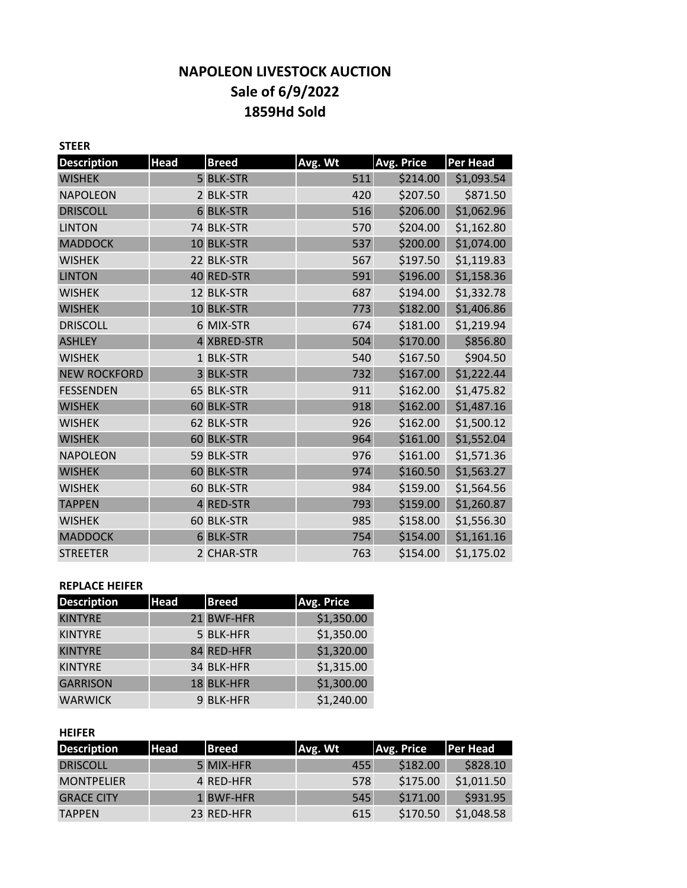# **NAPOLEON LIVESTOCK AUCTION Sale of 6/9/2022 1859Hd Sold**

| <b>STEER</b>        |                |                |         |                   |                 |
|---------------------|----------------|----------------|---------|-------------------|-----------------|
| <b>Description</b>  | <b>Head</b>    | <b>Breed</b>   | Avg. Wt | <b>Avg. Price</b> | <b>Per Head</b> |
| <b>WISHEK</b>       |                | 5 BLK-STR      | 511     | \$214.00          | \$1,093.54      |
| <b>NAPOLEON</b>     |                | 2 BLK-STR      | 420     | \$207.50          | \$871.50        |
| <b>DRISCOLL</b>     | 6              | <b>BLK-STR</b> | 516     | \$206.00          | \$1,062.96      |
| <b>LINTON</b>       |                | 74 BLK-STR     | 570     | \$204.00          | \$1,162.80      |
| <b>MADDOCK</b>      | 10             | <b>BLK-STR</b> | 537     | \$200.00          | \$1,074.00      |
| <b>WISHEK</b>       |                | 22 BLK-STR     | 567     | \$197.50          | \$1,119.83      |
| <b>LINTON</b>       | 40             | <b>RED-STR</b> | 591     | \$196.00          | \$1,158.36      |
| <b>WISHEK</b>       |                | 12 BLK-STR     | 687     | \$194.00          | \$1,332.78      |
| <b>WISHEK</b>       | 10             | <b>BLK-STR</b> | 773     | \$182.00          | \$1,406.86      |
| <b>DRISCOLL</b>     |                | 6 MIX-STR      | 674     | \$181.00          | \$1,219.94      |
| <b>ASHLEY</b>       |                | 4 XBRED-STR    | 504     | \$170.00          | \$856.80        |
| <b>WISHEK</b>       |                | 1 BLK-STR      | 540     | \$167.50          | \$904.50        |
| <b>NEW ROCKFORD</b> | $\overline{3}$ | <b>BLK-STR</b> | 732     | \$167.00          | \$1,222.44      |
| <b>FESSENDEN</b>    |                | 65 BLK-STR     | 911     | \$162.00          | \$1,475.82      |
| <b>WISHEK</b>       | 60             | <b>BLK-STR</b> | 918     | \$162.00          | \$1,487.16      |
| <b>WISHEK</b>       |                | 62 BLK-STR     | 926     | \$162.00          | \$1,500.12      |
| <b>WISHEK</b>       |                | 60 BLK-STR     | 964     | \$161.00          | \$1,552.04      |
| <b>NAPOLEON</b>     |                | 59 BLK-STR     | 976     | \$161.00          | \$1,571.36      |
| <b>WISHEK</b>       | 60             | <b>BLK-STR</b> | 974     | \$160.50          | \$1,563.27      |
| <b>WISHEK</b>       |                | 60 BLK-STR     | 984     | \$159.00          | \$1,564.56      |
| <b>TAPPEN</b>       | $\overline{4}$ | <b>RED-STR</b> | 793     | \$159.00          | \$1,260.87      |
| <b>WISHEK</b>       |                | 60 BLK-STR     | 985     | \$158.00          | \$1,556.30      |
| <b>MADDOCK</b>      | 6              | <b>BLK-STR</b> | 754     | \$154.00          | \$1,161.16      |
| <b>STREETER</b>     |                | 2 CHAR-STR     | 763     | \$154.00          | \$1,175.02      |

## **REPLACE HEIFER**

| <b>Description</b> | <b>Head</b> | <b>Breed</b> | Avg. Price |
|--------------------|-------------|--------------|------------|
| <b>KINTYRE</b>     |             | 21 BWF-HFR   | \$1,350.00 |
| <b>KINTYRE</b>     |             | 5 BLK-HFR    | \$1,350.00 |
| <b>KINTYRE</b>     |             | 84 RED-HFR   | \$1,320.00 |
| <b>KINTYRE</b>     |             | 34 BLK-HFR   | \$1,315.00 |
| <b>GARRISON</b>    |             | 18 BLK-HFR   | \$1,300.00 |
| <b>WARWICK</b>     |             | 9 BLK-HFR    | \$1,240.00 |

### **HEIFER**

| <b>Description</b> | <b>Head</b> | <b>Breed</b> | Avg. Wt | <b>Avg. Price</b> | <b>Per Head</b> |
|--------------------|-------------|--------------|---------|-------------------|-----------------|
| <b>DRISCOLL</b>    |             | 5 MIX-HFR    | 455     | \$182.00          | \$828.10        |
| <b>MONTPELIER</b>  |             | 4 RED-HFR    | 578     | \$175.00          | \$1,011.50      |
| <b>GRACE CITY</b>  |             | 1 BWF-HFR    | 545     | \$171.00          | \$931.95        |
| <b>TAPPEN</b>      |             | 23 RED-HFR   | 615     | \$170.50          | \$1,048.58      |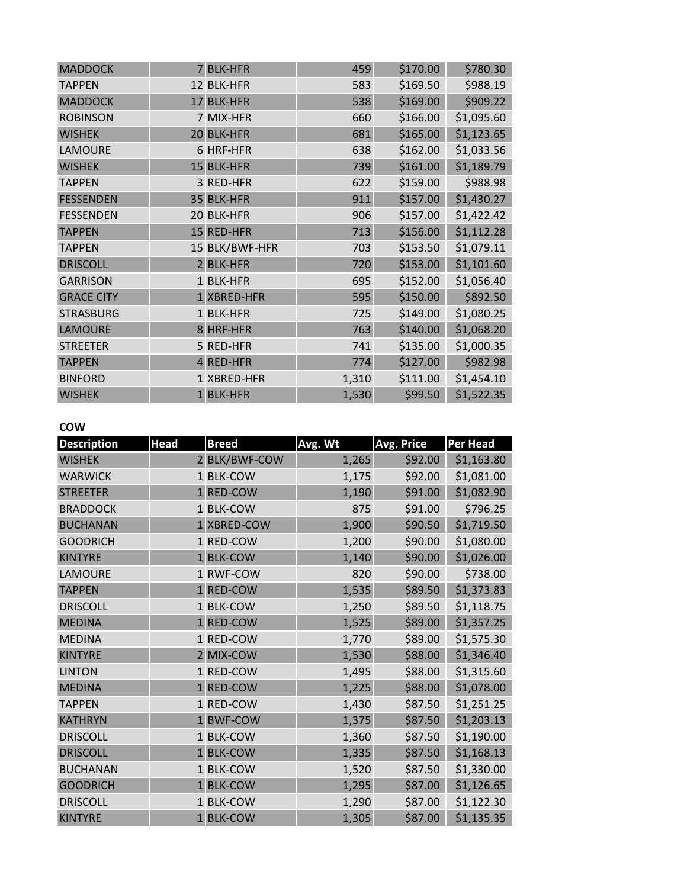| <b>MADDOCK</b>    |              | 7 BLK-HFR      | 459   | \$170.00 | \$780.30   |
|-------------------|--------------|----------------|-------|----------|------------|
| <b>TAPPEN</b>     |              | 12 BLK-HFR     | 583   | \$169.50 | \$988.19   |
| <b>MADDOCK</b>    | 17           | <b>BLK-HFR</b> | 538   | \$169.00 | \$909.22   |
| <b>ROBINSON</b>   |              | 7 MIX-HFR      | 660   | \$166.00 | \$1,095.60 |
| <b>WISHEK</b>     |              | 20 BLK-HFR     | 681   | \$165.00 | \$1,123.65 |
| <b>LAMOURE</b>    |              | 6 HRF-HFR      | 638   | \$162.00 | \$1,033.56 |
| <b>WISHEK</b>     | 15           | <b>BLK-HFR</b> | 739   | \$161.00 | \$1,189.79 |
| <b>TAPPEN</b>     |              | 3 RED-HFR      | 622   | \$159.00 | \$988.98   |
| <b>FESSENDEN</b>  |              | 35 BLK-HFR     | 911   | \$157.00 | \$1,430.27 |
| <b>FESSENDEN</b>  |              | 20 BLK-HFR     | 906   | \$157.00 | \$1,422.42 |
| <b>TAPPEN</b>     |              | 15 RED-HFR     | 713   | \$156.00 | \$1,112.28 |
| <b>TAPPEN</b>     |              | 15 BLK/BWF-HFR | 703   | \$153.50 | \$1,079.11 |
| <b>DRISCOLL</b>   |              | 2 BLK-HFR      | 720   | \$153.00 | \$1,101.60 |
| <b>GARRISON</b>   |              | 1 BLK-HFR      | 695   | \$152.00 | \$1,056.40 |
| <b>GRACE CITY</b> |              | 1 XBRED-HFR    | 595   | \$150.00 | \$892.50   |
| <b>STRASBURG</b>  |              | 1 BLK-HFR      | 725   | \$149.00 | \$1,080.25 |
| <b>LAMOURE</b>    |              | 8 HRF-HFR      | 763   | \$140.00 | \$1,068.20 |
| <b>STREETER</b>   |              | 5 RED-HFR      | 741   | \$135.00 | \$1,000.35 |
| <b>TAPPEN</b>     |              | 4 RED-HFR      | 774   | \$127.00 | \$982.98   |
| <b>BINFORD</b>    |              | 1 XBRED-HFR    | 1,310 | \$111.00 | \$1,454.10 |
| <b>WISHEK</b>     | $\mathbf{1}$ | <b>BLK-HFR</b> | 1,530 | \$99.50  | \$1,522.35 |

## **COW**

| <b>Description</b> | <b>Head</b>  | <b>Breed</b>   | Avg. Wt | Avg. Price | <b>Per Head</b> |
|--------------------|--------------|----------------|---------|------------|-----------------|
| <b>WISHEK</b>      |              | 2 BLK/BWF-COW  | 1,265   | \$92.00    | \$1,163.80      |
| <b>WARWICK</b>     |              | 1 BLK-COW      | 1,175   | \$92.00    | \$1,081.00      |
| <b>STREETER</b>    | $\mathbf{1}$ | <b>RED-COW</b> | 1,190   | \$91.00    | \$1,082.90      |
| <b>BRADDOCK</b>    |              | 1 BLK-COW      | 875     | \$91.00    | \$796.25        |
| <b>BUCHANAN</b>    |              | 1 XBRED-COW    | 1,900   | \$90.50    | \$1,719.50      |
| <b>GOODRICH</b>    |              | 1 RED-COW      | 1,200   | \$90.00    | \$1,080.00      |
| <b>KINTYRE</b>     | $\mathbf{1}$ | <b>BLK-COW</b> | 1,140   | \$90.00    | \$1,026.00      |
| LAMOURE            |              | 1 RWF-COW      | 820     | \$90.00    | \$738.00        |
| <b>TAPPEN</b>      | $\mathbf{1}$ | <b>RED-COW</b> | 1,535   | \$89.50    | \$1,373.83      |
| <b>DRISCOLL</b>    |              | 1 BLK-COW      | 1,250   | \$89.50    | \$1,118.75      |
| <b>MEDINA</b>      | $\mathbf{1}$ | <b>RED-COW</b> | 1,525   | \$89.00    | \$1,357.25      |
| <b>MEDINA</b>      |              | 1 RED-COW      | 1,770   | \$89.00    | \$1,575.30      |
| <b>KINTYRE</b>     |              | 2 MIX-COW      | 1,530   | \$88.00    | \$1,346.40      |
| <b>LINTON</b>      |              | 1 RED-COW      | 1,495   | \$88.00    | \$1,315.60      |
| <b>MEDINA</b>      |              | <b>RED-COW</b> | 1,225   | \$88.00    | \$1,078.00      |
| <b>TAPPEN</b>      |              | 1 RED-COW      | 1,430   | \$87.50    | \$1,251.25      |
| <b>KATHRYN</b>     | $\mathbf{1}$ | <b>BWF-COW</b> | 1,375   | \$87.50    | \$1,203.13      |
| <b>DRISCOLL</b>    |              | 1 BLK-COW      | 1,360   | \$87.50    | \$1,190.00      |
| <b>DRISCOLL</b>    |              | <b>BLK-COW</b> | 1,335   | \$87.50    | \$1,168.13      |
| <b>BUCHANAN</b>    |              | 1 BLK-COW      | 1,520   | \$87.50    | \$1,330.00      |
| <b>GOODRICH</b>    | $\mathbf{1}$ | <b>BLK-COW</b> | 1,295   | \$87.00    | \$1,126.65      |
| <b>DRISCOLL</b>    |              | 1 BLK-COW      | 1,290   | \$87.00    | \$1,122.30      |
| <b>KINTYRE</b>     |              | 1 BLK-COW      | 1,305   | \$87.00    | \$1,135.35      |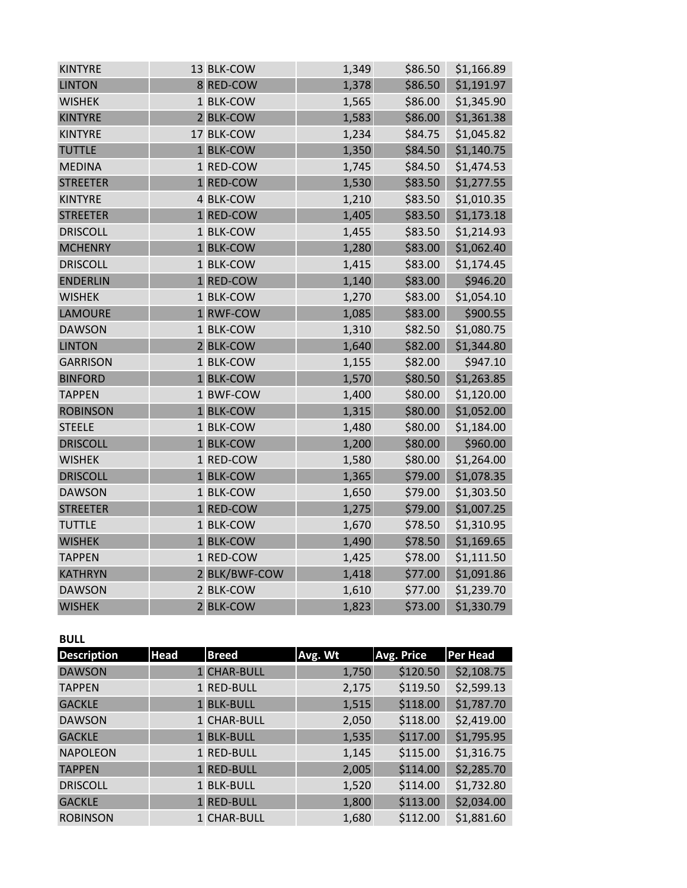| <b>KINTYRE</b>  | 13 BLK-COW    | 1,349 | \$86.50 | \$1,166.89 |
|-----------------|---------------|-------|---------|------------|
| <b>LINTON</b>   | 8 RED-COW     | 1,378 | \$86.50 | \$1,191.97 |
| <b>WISHEK</b>   | 1 BLK-COW     | 1,565 | \$86.00 | \$1,345.90 |
| <b>KINTYRE</b>  | 2 BLK-COW     | 1,583 | \$86.00 | \$1,361.38 |
| <b>KINTYRE</b>  | 17 BLK-COW    | 1,234 | \$84.75 | \$1,045.82 |
| <b>TUTTLE</b>   | 1 BLK-COW     | 1,350 | \$84.50 | \$1,140.75 |
| <b>MEDINA</b>   | 1 RED-COW     | 1,745 | \$84.50 | \$1,474.53 |
| <b>STREETER</b> | 1 RED-COW     | 1,530 | \$83.50 | \$1,277.55 |
| <b>KINTYRE</b>  | 4 BLK-COW     | 1,210 | \$83.50 | \$1,010.35 |
| <b>STREETER</b> | 1 RED-COW     | 1,405 | \$83.50 | \$1,173.18 |
| <b>DRISCOLL</b> | 1 BLK-COW     | 1,455 | \$83.50 | \$1,214.93 |
| <b>MCHENRY</b>  | 1 BLK-COW     | 1,280 | \$83.00 | \$1,062.40 |
| <b>DRISCOLL</b> | 1 BLK-COW     | 1,415 | \$83.00 | \$1,174.45 |
| <b>ENDERLIN</b> | 1 RED-COW     | 1,140 | \$83.00 | \$946.20   |
| <b>WISHEK</b>   | 1 BLK-COW     | 1,270 | \$83.00 | \$1,054.10 |
| <b>LAMOURE</b>  | 1 RWF-COW     | 1,085 | \$83.00 | \$900.55   |
| <b>DAWSON</b>   | 1 BLK-COW     | 1,310 | \$82.50 | \$1,080.75 |
| <b>LINTON</b>   | 2 BLK-COW     | 1,640 | \$82.00 | \$1,344.80 |
| <b>GARRISON</b> | 1 BLK-COW     | 1,155 | \$82.00 | \$947.10   |
| <b>BINFORD</b>  | 1 BLK-COW     | 1,570 | \$80.50 | \$1,263.85 |
| <b>TAPPEN</b>   | 1 BWF-COW     | 1,400 | \$80.00 | \$1,120.00 |
| <b>ROBINSON</b> | 1 BLK-COW     | 1,315 | \$80.00 | \$1,052.00 |
| <b>STEELE</b>   | 1 BLK-COW     | 1,480 | \$80.00 | \$1,184.00 |
| <b>DRISCOLL</b> | 1 BLK-COW     | 1,200 | \$80.00 | \$960.00   |
| <b>WISHEK</b>   | 1 RED-COW     | 1,580 | \$80.00 | \$1,264.00 |
| <b>DRISCOLL</b> | 1 BLK-COW     | 1,365 | \$79.00 | \$1,078.35 |
| <b>DAWSON</b>   | 1 BLK-COW     | 1,650 | \$79.00 | \$1,303.50 |
| <b>STREETER</b> | 1 RED-COW     | 1,275 | \$79.00 | \$1,007.25 |
| <b>TUTTLE</b>   | 1 BLK-COW     | 1,670 | \$78.50 | \$1,310.95 |
| <b>WISHEK</b>   | 1 BLK-COW     | 1,490 | \$78.50 | \$1,169.65 |
| <b>TAPPEN</b>   | 1 RED-COW     | 1,425 | \$78.00 | \$1,111.50 |
| <b>KATHRYN</b>  | 2 BLK/BWF-COW | 1,418 | \$77.00 | \$1,091.86 |
| <b>DAWSON</b>   | 2 BLK-COW     | 1,610 | \$77.00 | \$1,239.70 |
| <b>WISHEK</b>   | 2 BLK-COW     | 1,823 | \$73.00 | \$1,330.79 |

**BULL** 

| <b>Description</b> | <b>Head</b> | <b>Breed</b> | Avg. Wt | <b>Avg. Price</b> | <b>Per Head</b> |
|--------------------|-------------|--------------|---------|-------------------|-----------------|
| <b>DAWSON</b>      |             | 1 CHAR-BULL  | 1,750   | \$120.50          | \$2,108.75      |
| <b>TAPPEN</b>      |             | 1 RED-BULL   | 2,175   | \$119.50          | \$2,599.13      |
| <b>GACKLE</b>      |             | 1 BLK-BULL   | 1,515   | \$118.00          | \$1,787.70      |
| <b>DAWSON</b>      |             | 1 CHAR-BULL  | 2,050   | \$118.00          | \$2,419.00      |
| <b>GACKLE</b>      |             | 1 BLK-BULL   | 1,535   | \$117.00          | \$1,795.95      |
| <b>NAPOLEON</b>    |             | 1 RED-BULL   | 1,145   | \$115.00          | \$1,316.75      |
| <b>TAPPEN</b>      |             | 1 RED-BULL   | 2,005   | \$114.00          | \$2,285.70      |
| <b>DRISCOLL</b>    |             | 1 BLK-BULL   | 1,520   | \$114.00          | \$1,732.80      |
| <b>GACKLE</b>      |             | 1 RED-BULL   | 1,800   | \$113.00          | \$2,034.00      |
| <b>ROBINSON</b>    |             | 1 CHAR-BULL  | 1,680   | \$112.00          | \$1,881.60      |